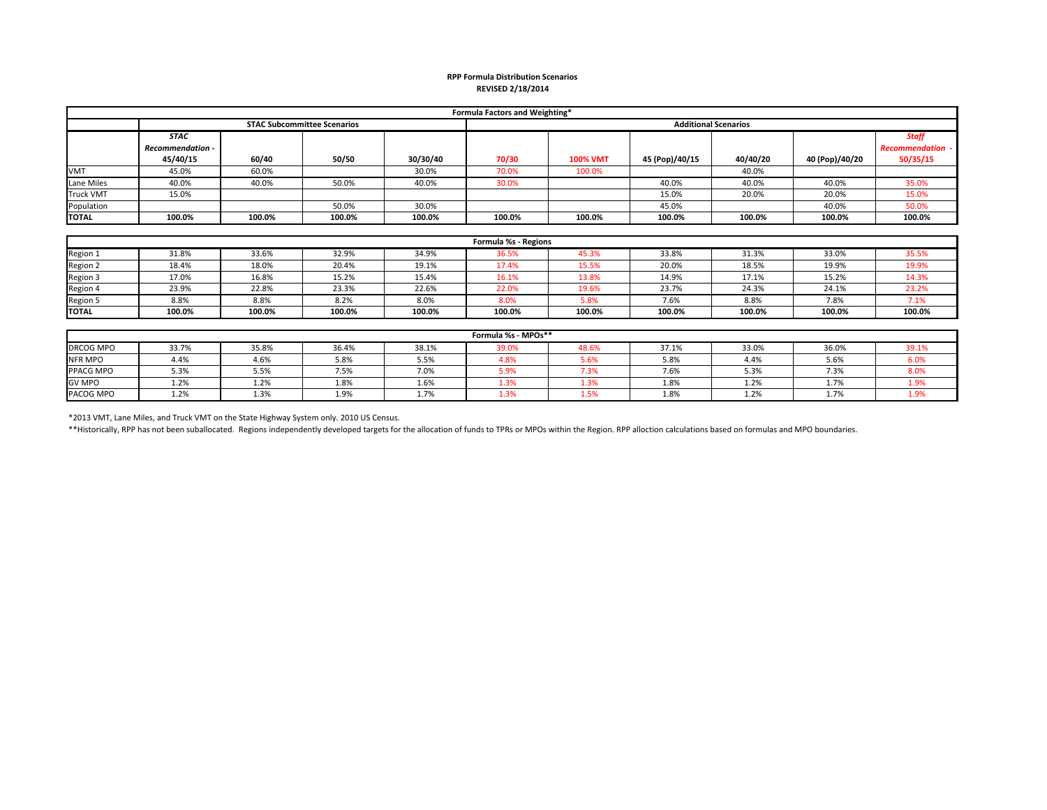## **RPP Formula Distribution Scenarios REVISED 2/18/2014**

| Formula Factors and Weighting* |                         |        |                                    |          |                             |                 |                |          |                |                         |
|--------------------------------|-------------------------|--------|------------------------------------|----------|-----------------------------|-----------------|----------------|----------|----------------|-------------------------|
|                                |                         |        | <b>STAC Subcommittee Scenarios</b> |          | <b>Additional Scenarios</b> |                 |                |          |                |                         |
|                                | <b>STAC</b>             |        |                                    |          |                             |                 |                |          |                | <b>Staff</b>            |
|                                | <b>Recommendation -</b> |        |                                    |          |                             |                 |                |          |                | <b>Recommendation -</b> |
|                                | 45/40/15                | 60/40  | 50/50                              | 30/30/40 | 70/30                       | <b>100% VMT</b> | 45 (Pop)/40/15 | 40/40/20 | 40 (Pop)/40/20 | 50/35/15                |
| <b>VMT</b>                     | 45.0%                   | 60.0%  |                                    | 30.0%    | 70.0%                       | 100.0%          |                | 40.0%    |                |                         |
| Lane Miles                     | 40.0%                   | 40.0%  | 50.0%                              | 40.0%    | 30.0%                       |                 | 40.0%          | 40.0%    | 40.0%          | 35.0%                   |
| <b>Truck VMT</b>               | 15.0%                   |        |                                    |          |                             |                 | 15.0%          | 20.0%    | 20.0%          | 15.0%                   |
| Population                     |                         |        | 50.0%                              | 30.0%    |                             |                 | 45.0%          |          | 40.0%          | 50.0%                   |
| <b>TOTAL</b>                   | 100.0%                  | 100.0% | 100.0%                             | 100.0%   | 100.0%                      | 100.0%          | 100.0%         | 100.0%   | 100.0%         | 100.0%                  |

| Formula %s - Regions |        |        |        |        |        |        |        |        |        |        |
|----------------------|--------|--------|--------|--------|--------|--------|--------|--------|--------|--------|
| Region 1             | 31.8%  | 33.6%  | 32.9%  | 34.9%  | 36.5%  | 45.3%  | 33.8%  | 31.3%  | 33.0%  | 35.5%  |
| Region 2             | 18.4%  | 18.0%  | 20.4%  | 19.1%  | 17.4%  | 15.5%  | 20.0%  | 18.5%  | 19.9%  | 19.9%  |
| Region 3             | 17.0%  | 16.8%  | 15.2%  | 15.4%  | 16.1%  | 13.8%  | 14.9%  | 17.1%  | 15.2%  | 14.3%  |
| Region 4             | 23.9%  | 22.8%  | 23.3%  | 22.6%  | 22.0%  | 19.6%  | 23.7%  | 24.3%  | 24.1%  | 23.2%  |
| Region 5             | 8.8%   | 8.8%   | 8.2%   | 8.0%   | 8.0%   | 5.8%   | 7.6%   | 8.8%   | 7.8%   | 7.1%   |
| <b>TOTAL</b>         | 100.0% | 100.0% | 100.0% | 100.0% | 100.0% | 100.0% | 100.0% | 100.0% | 100.0% | 100.0% |

| Formula %s - MPOs** |       |       |       |       |                 |                           |              |       |       |             |
|---------------------|-------|-------|-------|-------|-----------------|---------------------------|--------------|-------|-------|-------------|
| DRCOG MPO           | 33.7% | 35.8% | 36.4% | 38.1% | 39.0%           | 48.6%                     | 37.1%        | 33.0% | 36.0% | 39.1%       |
| <b>NFR MPO</b>      | 4.4%  | 4.6%  | 5.8%  | 5.5%  | 1.8%            | 5.6%                      | 5.8%         | 4.4%  | 5.6%  | <b>0.U7</b> |
| PPACG MPO           | 5.3%  | 5.5%  | 7.5%  | 7.0%  | $ \sim$<br>5.9% | 7.3%                      | 7.01<br>/.b% | 5.3%  | 7.3%  | 8.0%        |
| <b>GV MPO</b>       | 1.2%  | 1.2%  | 1.8%  | 1.6%  |                 | $-3%$                     | 1.8%         | 1.2%  | 1.7%  |             |
| PACOG MPO           | 1.2%  | 1.3%  | 1.9%  | 1.7%  | 1.3%            | <b>EO</b><br><b>1.J/0</b> | 1.8%         | 1.2%  | 1.7%  | エコパ         |

\*2013 VMT, Lane Miles, and Truck VMT on the State Highway System only. 2010 US Census.

\*\*Historically, RPP has not been suballocated. Regions independently developed targets for the allocation of funds to TPRs or MPOs within the Region. RPP alloction calculations based on formulas and MPO boundaries.